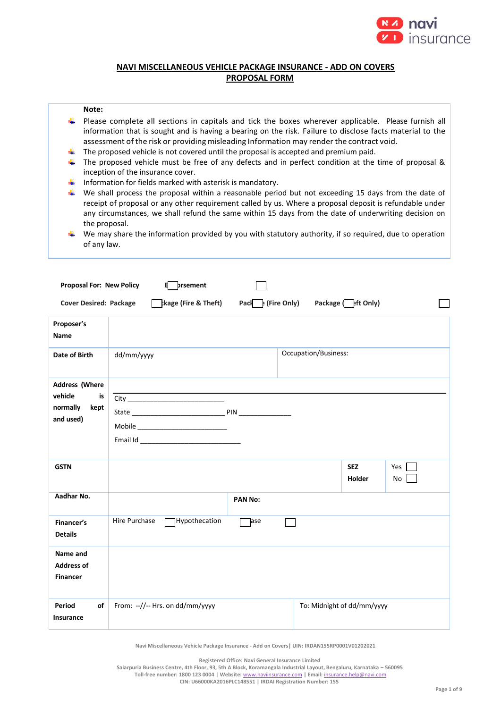

# **NAVI MISCELLANEOUS VEHICLE PACKAGE INSURANCE - ADD ON COVERS PROPOSAL FORM**

### **Note:**

- Please complete all sections in capitals and tick the boxes wherever applicable. Please furnish all information that is sought and is having a bearing on the risk. Failure to disclose facts material to the assessment of the risk or providing misleading Information may render the contract void.
- ₩ The proposed vehicle is not covered until the proposal is accepted and premium paid.
- The proposed vehicle must be free of any defects and in perfect condition at the time of proposal & ₩. inception of the insurance cover.
- $\ddot{\phantom{1}}$  Information for fields marked with asterisk is mandatory.
- $\blacklozenge$  We shall process the proposal within a reasonable period but not exceeding 15 days from the date of receipt of proposal or any other requirement called by us. Where a proposal deposit is refundable under any circumstances, we shall refund the same within 15 days from the date of underwriting decision on the proposal.
- $\ddot{\phantom{1}}$  We may share the information provided by you with statutory authority, if so required, due to operation of any law.

| <b>Proposal For: New Policy</b>                                         | prsement<br>8                                                                                   |                |                            |                             |           |
|-------------------------------------------------------------------------|-------------------------------------------------------------------------------------------------|----------------|----------------------------|-----------------------------|-----------|
| <b>Cover Desired: Package</b>                                           | $\frac{1}{2}$ kage (Fire & Theft) Pack $\frac{1}{2}$ (Fire Only) Package $\frac{1}{2}$ ft Only) |                |                            |                             |           |
| Proposer's<br><b>Name</b>                                               |                                                                                                 |                |                            |                             |           |
| Date of Birth                                                           | dd/mm/yyyy                                                                                      |                | Occupation/Business:       |                             |           |
| <b>Address (Where</b><br>vehicle<br>is<br>normally<br>kept<br>and used) |                                                                                                 |                |                            |                             |           |
| <b>GSTN</b>                                                             |                                                                                                 |                |                            | <b>SEZ</b><br><b>Holder</b> | Yes<br>No |
| Aadhar No.                                                              |                                                                                                 | <b>PAN No:</b> |                            |                             |           |
| Financer's<br><b>Details</b>                                            | Hypothecation<br>Hire Purchase                                                                  | ]ase           |                            |                             |           |
| Name and<br><b>Address of</b><br><b>Financer</b>                        |                                                                                                 |                |                            |                             |           |
| of<br>Period<br>Insurance                                               | From: --//-- Hrs. on dd/mm/yyyy                                                                 |                | To: Midnight of dd/mm/yyyy |                             |           |

**Navi Miscellaneous Vehicle Package Insurance - Add on Covers| UIN: IRDAN155RP0001V01202021**

**Registered Office: Navi General Insurance Limited**

**Salarpuria Business Centre, 4th Floor, 93, 5th A Block, Koramangala Industrial Layout, Bengaluru, Karnataka – 560095 Toll-free number: 1800 123 0004 | Website:** [www.naviinsurance.com](http://www.naviinsurance.com/) **| Email:** [insurance.help@navi.com](mailto:insurance.help@navi.com)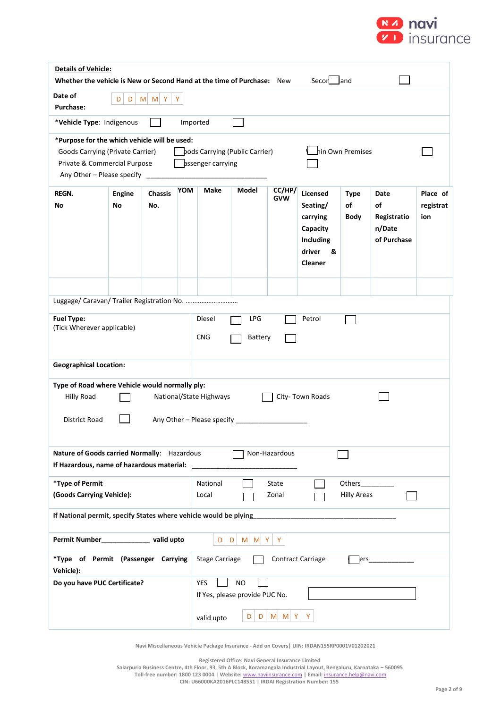

| <b>Details of Vehicle:</b><br>Whether the vehicle is New or Second Hand at the time of Purchase: New<br>Secon land                                                                                                        |                                       |                       |            |                       |       |                      |                                                                                                   |                           |                                                    |                              |
|---------------------------------------------------------------------------------------------------------------------------------------------------------------------------------------------------------------------------|---------------------------------------|-----------------------|------------|-----------------------|-------|----------------------|---------------------------------------------------------------------------------------------------|---------------------------|----------------------------------------------------|------------------------------|
| Date of<br><b>Purchase:</b>                                                                                                                                                                                               | $M$ $M$ $Y$<br>Y<br>D<br>D            |                       |            |                       |       |                      |                                                                                                   |                           |                                                    |                              |
|                                                                                                                                                                                                                           | *Vehicle Type: Indigenous<br>Imported |                       |            |                       |       |                      |                                                                                                   |                           |                                                    |                              |
| *Purpose for the which vehicle will be used:<br>hin Own Premises<br>pods Carrying (Public Carrier)<br>Goods Carrying (Private Carrier)<br>Private & Commercial Purpose<br>assenger carrying<br>Any Other - Please specify |                                       |                       |            |                       |       |                      |                                                                                                   |                           |                                                    |                              |
| <b>REGN.</b><br>No                                                                                                                                                                                                        | <b>Engine</b><br>No                   | <b>Chassis</b><br>No. | <b>YOM</b> | Make                  | Model | CC/HP/<br><b>GVW</b> | <b>Licensed</b><br>Seating/<br>carrying<br>Capacity<br>Including<br>driver<br>&<br><b>Cleaner</b> | <b>Type</b><br>of<br>Body | Date<br>of<br>Registratio<br>n/Date<br>of Purchase | Place of<br>registrat<br>ion |
| Luggage/ Caravan/ Trailer Registration No.<br><b>Fuel Type:</b><br>Diesel<br>LPG<br>Petrol<br>(Tick Wherever applicable)<br><b>CNG</b><br>Battery                                                                         |                                       |                       |            |                       |       |                      |                                                                                                   |                           |                                                    |                              |
| <b>Geographical Location:</b>                                                                                                                                                                                             |                                       |                       |            |                       |       |                      |                                                                                                   |                           |                                                    |                              |
| Type of Road where Vehicle would normally ply:<br>National/State Highways<br>City-Town Roads<br><b>Hilly Road</b><br>District Road                                                                                        |                                       |                       |            |                       |       |                      |                                                                                                   |                           |                                                    |                              |
| Nature of Goods carried Normally: Hazardous<br>Non-Hazardous<br>If Hazardous, name of hazardous material:                                                                                                                 |                                       |                       |            |                       |       |                      |                                                                                                   |                           |                                                    |                              |
| *Type of Permit<br>National<br>Others_<br>State<br>(Goods Carrying Vehicle):<br>Zonal<br><b>Hilly Areas</b><br>Local                                                                                                      |                                       |                       |            |                       |       |                      |                                                                                                   |                           |                                                    |                              |
| If National permit, specify States where vehicle would be plying                                                                                                                                                          |                                       |                       |            |                       |       |                      |                                                                                                   |                           |                                                    |                              |
| Permit Number______________ valid upto<br>D<br>M M Y<br>Y<br>D                                                                                                                                                            |                                       |                       |            |                       |       |                      |                                                                                                   |                           |                                                    |                              |
| *Type of Permit (Passenger Carrying<br>Vehicle):                                                                                                                                                                          |                                       |                       |            | <b>Stage Carriage</b> |       |                      | <b>Contract Carriage</b>                                                                          | ers                       |                                                    |                              |
| <b>YES</b><br><b>NO</b><br>Do you have PUC Certificate?<br>If Yes, please provide PUC No.<br>Y<br>$M$ $M$ $Y$<br>D<br>D<br>valid upto                                                                                     |                                       |                       |            |                       |       |                      |                                                                                                   |                           |                                                    |                              |

**Registered Office: Navi General Insurance Limited**

**Salarpuria Business Centre, 4th Floor, 93, 5th A Block, Koramangala Industrial Layout, Bengaluru, Karnataka – 560095**

**Toll-free number: 1800 123 0004 | Website:** [www.naviinsurance.com](http://www.naviinsurance.com/) **| Email:** [insurance.help@navi.com](mailto:insurance.help@navi.com)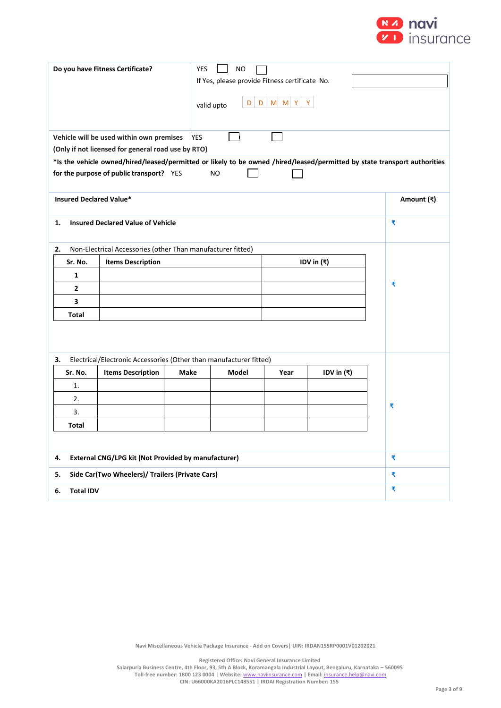

| Do you have Fitness Certificate?                                                                                                                                                                                                         |                                                                    |             |       |      |            |            |  |  |
|------------------------------------------------------------------------------------------------------------------------------------------------------------------------------------------------------------------------------------------|--------------------------------------------------------------------|-------------|-------|------|------------|------------|--|--|
|                                                                                                                                                                                                                                          | Vehicle will be used within own premises<br><b>YES</b>             |             |       |      |            |            |  |  |
| (Only if not licensed for general road use by RTO)<br>*Is the vehicle owned/hired/leased/permitted or likely to be owned /hired/leased/permitted by state transport authorities<br>for the purpose of public transport? YES<br><b>NO</b> |                                                                    |             |       |      |            |            |  |  |
| <b>Insured Declared Value*</b>                                                                                                                                                                                                           |                                                                    |             |       |      |            | Amount (₹) |  |  |
| <b>Insured Declared Value of Vehicle</b><br>1.                                                                                                                                                                                           | ₹                                                                  |             |       |      |            |            |  |  |
| Non-Electrical Accessories (other Than manufacturer fitted)<br>2.                                                                                                                                                                        |                                                                    |             |       |      |            |            |  |  |
| Sr. No.                                                                                                                                                                                                                                  | <b>Items Description</b>                                           |             |       |      |            |            |  |  |
| 1                                                                                                                                                                                                                                        |                                                                    |             |       |      |            |            |  |  |
| 2                                                                                                                                                                                                                                        |                                                                    | ₹           |       |      |            |            |  |  |
| 3                                                                                                                                                                                                                                        |                                                                    |             |       |      |            |            |  |  |
| Total                                                                                                                                                                                                                                    |                                                                    |             |       |      |            |            |  |  |
| 3.                                                                                                                                                                                                                                       | Electrical/Electronic Accessories (Other than manufacturer fitted) |             |       |      |            |            |  |  |
| Sr. No.                                                                                                                                                                                                                                  | <b>Items Description</b>                                           | <b>Make</b> | Model | Year | IDV in (₹) |            |  |  |
| 1.                                                                                                                                                                                                                                       |                                                                    |             |       |      |            |            |  |  |
| 2.                                                                                                                                                                                                                                       |                                                                    |             |       |      |            |            |  |  |
| 3.                                                                                                                                                                                                                                       |                                                                    |             |       |      |            | ₹          |  |  |
| Total                                                                                                                                                                                                                                    |                                                                    |             |       |      |            |            |  |  |
|                                                                                                                                                                                                                                          |                                                                    |             |       |      |            |            |  |  |
| <b>External CNG/LPG kit (Not Provided by manufacturer)</b><br>4.                                                                                                                                                                         | ₹                                                                  |             |       |      |            |            |  |  |
| Side Car(Two Wheelers)/ Trailers (Private Cars)<br>5.                                                                                                                                                                                    | ₹                                                                  |             |       |      |            |            |  |  |
| <b>Total IDV</b><br>6.                                                                                                                                                                                                                   |                                                                    |             |       |      |            | ₹          |  |  |

**Registered Office: Navi General Insurance Limited**

**Salarpuria Business Centre, 4th Floor, 93, 5th A Block, Koramangala Industrial Layout, Bengaluru, Karnataka – 560095 Toll-free number: 1800 123 0004 | Website:** [www.naviinsurance.com](http://www.naviinsurance.com/) **| Email:** [insurance.help@navi.com](mailto:insurance.help@navi.com)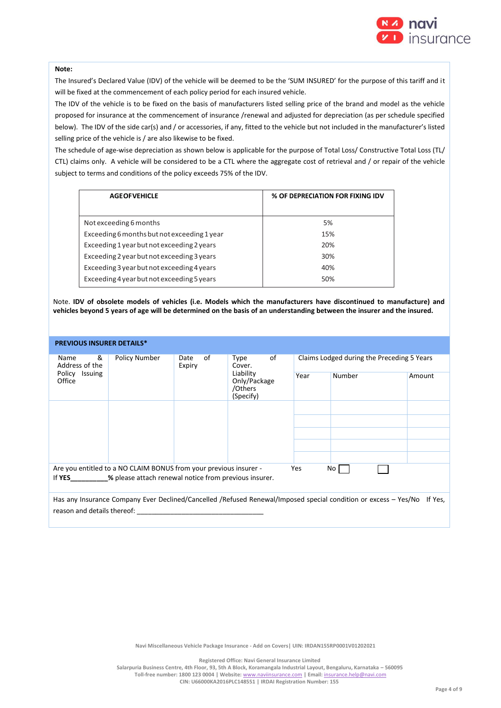

### **Note:**

The Insured's Declared Value (IDV) of the vehicle will be deemed to be the 'SUM INSURED' for the purpose of this tariff and it will be fixed at the commencement of each policy period for each insured vehicle.

The IDV of the vehicle is to be fixed on the basis of manufacturers listed selling price of the brand and model as the vehicle proposed for insurance at the commencement of insurance /renewal and adjusted for depreciation (as per schedule specified below). The IDV of the side car(s) and / or accessories, if any, fitted to the vehicle but not included in the manufacturer's listed selling price of the vehicle is / are also likewise to be fixed.

The schedule of age-wise depreciation as shown below is applicable for the purpose of Total Loss/ Constructive Total Loss (TL/ CTL) claims only. A vehicle will be considered to be a CTL where the aggregate cost of retrieval and / or repair of the vehicle subject to terms and conditions of the policy exceeds 75% of the IDV.

| <b>AGEOFVEHICLE</b>                         | % OF DEPRECIATION FOR FIXING IDV |
|---------------------------------------------|----------------------------------|
| Not exceeding 6 months                      | 5%                               |
| Exceeding 6 months but not exceeding 1 year | 15%                              |
| Exceeding 1 year but not exceeding 2 years  | 20%                              |
| Exceeding 2 year but not exceeding 3 years  | 30%                              |
| Exceeding 3 year but not exceeding 4 years  | 40%                              |
| Exceeding 4 year but not exceeding 5 years  | 50%                              |

Note. **IDV of obsolete models of vehicles (i.e. Models which the manufacturers have discontinued to manufacture) and vehicles beyond 5 years of age will be determined on the basis of an understanding between the insurer and the insured.**

### **PREVIOUS INSURER DETAILS\***

| &<br>Name<br>Address of the<br>Policy Issuing<br>Office | Policy Number                                                     | οf<br>Date<br>Expiry | of<br>Type<br>Cover.<br>Liability<br>Only/Package<br>/Others<br>(Specify) | Claims Lodged during the Preceding 5 Years |                                                                                                                 |         |  |
|---------------------------------------------------------|-------------------------------------------------------------------|----------------------|---------------------------------------------------------------------------|--------------------------------------------|-----------------------------------------------------------------------------------------------------------------|---------|--|
|                                                         |                                                                   |                      |                                                                           | Year                                       | Number                                                                                                          | Amount  |  |
|                                                         |                                                                   |                      |                                                                           |                                            |                                                                                                                 |         |  |
|                                                         |                                                                   |                      |                                                                           |                                            |                                                                                                                 |         |  |
|                                                         |                                                                   |                      |                                                                           |                                            |                                                                                                                 |         |  |
|                                                         |                                                                   |                      |                                                                           |                                            |                                                                                                                 |         |  |
|                                                         |                                                                   |                      |                                                                           |                                            |                                                                                                                 |         |  |
|                                                         | Are you entitled to a NO CLAIM BONUS from your previous insurer - |                      |                                                                           | Yes                                        | No l                                                                                                            |         |  |
| If YES                                                  | % please attach renewal notice from previous insurer.             |                      |                                                                           |                                            |                                                                                                                 |         |  |
| reason and details thereof:                             |                                                                   |                      |                                                                           |                                            | Has any Insurance Company Ever Declined/Cancelled /Refused Renewal/Imposed special condition or excess - Yes/No | If Yes. |  |
|                                                         |                                                                   |                      |                                                                           |                                            |                                                                                                                 |         |  |

**Navi Miscellaneous Vehicle Package Insurance - Add on Covers| UIN: IRDAN155RP0001V01202021**

**Registered Office: Navi General Insurance Limited**

**Salarpuria Business Centre, 4th Floor, 93, 5th A Block, Koramangala Industrial Layout, Bengaluru, Karnataka – 560095 Toll-free number: 1800 123 0004 | Website:** [www.naviinsurance.com](http://www.naviinsurance.com/) **| Email:** [insurance.help@navi.com](mailto:insurance.help@navi.com) **CIN: U66000KA2016PLC148551 | IRDAI Registration Number: 155**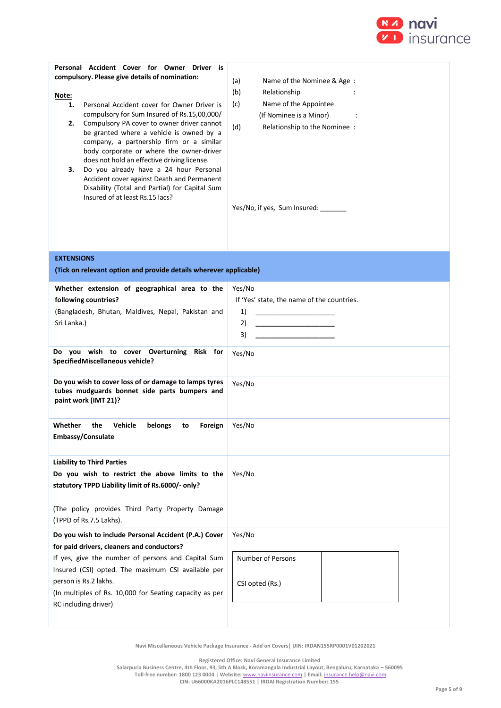

| Personal Accident Cover for Owner Driver is<br>compulsory. Please give details of nomination:<br>Note:<br>Personal Accident cover for Owner Driver is<br>1.<br>compulsory for Sum Insured of Rs.15,00,000/<br>2.<br>Compulsory PA cover to owner driver cannot<br>be granted where a vehicle is owned by a<br>company, a partnership firm or a similar<br>body corporate or where the owner-driver<br>does not hold an effective driving license.<br>Do you already have a 24 hour Personal<br>з.<br>Accident cover against Death and Permanent<br>Disability (Total and Partial) for Capital Sum<br>Insured of at least Rs.15 lacs? | (a)<br>Name of the Nominee & Age:<br>(b)<br>Relationship<br>Name of the Appointee<br>(c)<br>(If Nominee is a Minor)<br>(d)<br>Relationship to the Nominee :<br>Yes/No, if yes, Sum Insured: _______ |
|--------------------------------------------------------------------------------------------------------------------------------------------------------------------------------------------------------------------------------------------------------------------------------------------------------------------------------------------------------------------------------------------------------------------------------------------------------------------------------------------------------------------------------------------------------------------------------------------------------------------------------------|-----------------------------------------------------------------------------------------------------------------------------------------------------------------------------------------------------|
| <b>EXTENSIONS</b><br>(Tick on relevant option and provide details wherever applicable)                                                                                                                                                                                                                                                                                                                                                                                                                                                                                                                                               |                                                                                                                                                                                                     |
| Whether extension of geographical area to the<br>following countries?<br>(Bangladesh, Bhutan, Maldives, Nepal, Pakistan and<br>Sri Lanka.)<br>Do you wish to cover Overturning Risk for<br>SpecifiedMiscellaneous vehicle?<br>Do you wish to cover loss of or damage to lamps tyres                                                                                                                                                                                                                                                                                                                                                  | Yes/No<br>If 'Yes' state, the name of the countries.<br>1)<br><u> 1989 - Johann Barbara, martin amerikan ba</u><br>2)<br><u> 1989 - Johann Barbara, martin a</u><br>3)<br>Yes/No<br>Yes/No          |
| tubes mudguards bonnet side parts bumpers and<br>paint work (IMT 21)?<br>Vehicle<br>belongs<br>Whether<br>the<br>Foreign<br>to                                                                                                                                                                                                                                                                                                                                                                                                                                                                                                       | Yes/No                                                                                                                                                                                              |
| Embassy/Consulate                                                                                                                                                                                                                                                                                                                                                                                                                                                                                                                                                                                                                    |                                                                                                                                                                                                     |
| <b>Liability to Third Parties</b><br>Do you wish to restrict the above limits to the<br>statutory TPPD Liability limit of Rs.6000/- only?<br>(The policy provides Third Party Property Damage<br>(TPPD of Rs.7.5 Lakhs).                                                                                                                                                                                                                                                                                                                                                                                                             | Yes/No                                                                                                                                                                                              |
| Do you wish to include Personal Accident (P.A.) Cover<br>for paid drivers, cleaners and conductors?<br>If yes, give the number of persons and Capital Sum<br>Insured (CSI) opted. The maximum CSI available per<br>person is Rs.2 lakhs.<br>(In multiples of Rs. 10,000 for Seating capacity as per<br>RC including driver)                                                                                                                                                                                                                                                                                                          | Yes/No<br><b>Number of Persons</b><br>CSI opted (Rs.)                                                                                                                                               |
|                                                                                                                                                                                                                                                                                                                                                                                                                                                                                                                                                                                                                                      |                                                                                                                                                                                                     |

**Registered Office: Navi General Insurance Limited**

**Salarpuria Business Centre, 4th Floor, 93, 5th A Block, Koramangala Industrial Layout, Bengaluru, Karnataka – 560095 Toll-free number: 1800 123 0004 | Website:** [www.naviinsurance.com](http://www.naviinsurance.com/) **| Email:** [insurance.help@navi.com](mailto:insurance.help@navi.com)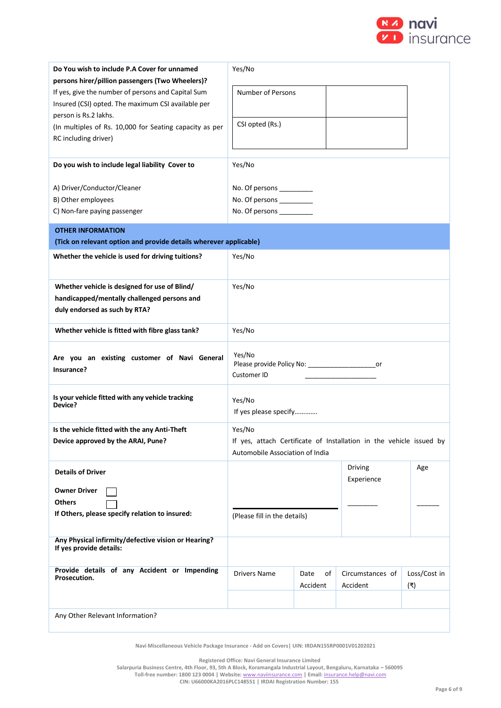

| Do You wish to include P.A Cover for unnamed                                   | Yes/No                                                  |                       |                                                                     |              |  |  |  |
|--------------------------------------------------------------------------------|---------------------------------------------------------|-----------------------|---------------------------------------------------------------------|--------------|--|--|--|
| persons hirer/pillion passengers (Two Wheelers)?                               |                                                         |                       |                                                                     |              |  |  |  |
| If yes, give the number of persons and Capital Sum                             | <b>Number of Persons</b>                                |                       |                                                                     |              |  |  |  |
| Insured (CSI) opted. The maximum CSI available per<br>person is Rs.2 lakhs.    |                                                         |                       |                                                                     |              |  |  |  |
| (In multiples of Rs. 10,000 for Seating capacity as per                        | CSI opted (Rs.)                                         |                       |                                                                     |              |  |  |  |
| RC including driver)                                                           |                                                         |                       |                                                                     |              |  |  |  |
|                                                                                |                                                         |                       |                                                                     |              |  |  |  |
| Do you wish to include legal liability Cover to                                | Yes/No                                                  |                       |                                                                     |              |  |  |  |
|                                                                                |                                                         |                       |                                                                     |              |  |  |  |
| A) Driver/Conductor/Cleaner<br>B) Other employees                              | No. Of persons ___________<br>No. Of persons __________ |                       |                                                                     |              |  |  |  |
| C) Non-fare paying passenger                                                   | No. Of persons __________                               |                       |                                                                     |              |  |  |  |
|                                                                                |                                                         |                       |                                                                     |              |  |  |  |
| <b>OTHER INFORMATION</b>                                                       |                                                         |                       |                                                                     |              |  |  |  |
| (Tick on relevant option and provide details wherever applicable)              |                                                         |                       |                                                                     |              |  |  |  |
| Whether the vehicle is used for driving tuitions?                              | Yes/No                                                  |                       |                                                                     |              |  |  |  |
|                                                                                |                                                         |                       |                                                                     |              |  |  |  |
| Whether vehicle is designed for use of Blind/                                  | Yes/No                                                  |                       |                                                                     |              |  |  |  |
| handicapped/mentally challenged persons and                                    |                                                         |                       |                                                                     |              |  |  |  |
| duly endorsed as such by RTA?                                                  |                                                         |                       |                                                                     |              |  |  |  |
| Whether vehicle is fitted with fibre glass tank?                               | Yes/No                                                  |                       |                                                                     |              |  |  |  |
|                                                                                | Yes/No                                                  |                       |                                                                     |              |  |  |  |
| Are you an existing customer of Navi General<br>Insurance?                     | Please provide Policy No: _________________________or   |                       |                                                                     |              |  |  |  |
|                                                                                | Customer ID                                             |                       |                                                                     |              |  |  |  |
| Is your vehicle fitted with any vehicle tracking                               |                                                         |                       |                                                                     |              |  |  |  |
| Device?                                                                        | Yes/No                                                  | If yes please specify |                                                                     |              |  |  |  |
|                                                                                |                                                         |                       |                                                                     |              |  |  |  |
| Is the vehicle fitted with the any Anti-Theft                                  | Yes/No                                                  |                       |                                                                     |              |  |  |  |
| Device approved by the ARAI, Pune?                                             | Automobile Association of India                         |                       | If yes, attach Certificate of Installation in the vehicle issued by |              |  |  |  |
|                                                                                |                                                         |                       |                                                                     |              |  |  |  |
| <b>Details of Driver</b>                                                       |                                                         |                       | <b>Driving</b><br>Experience                                        | Age          |  |  |  |
| <b>Owner Driver</b>                                                            |                                                         |                       |                                                                     |              |  |  |  |
| <b>Others</b>                                                                  |                                                         |                       |                                                                     |              |  |  |  |
| If Others, please specify relation to insured:                                 | (Please fill in the details)                            |                       |                                                                     |              |  |  |  |
|                                                                                |                                                         |                       |                                                                     |              |  |  |  |
| Any Physical infirmity/defective vision or Hearing?<br>If yes provide details: |                                                         |                       |                                                                     |              |  |  |  |
|                                                                                |                                                         |                       |                                                                     |              |  |  |  |
| Provide details of any Accident or Impending<br>Prosecution.                   | <b>Drivers Name</b>                                     | Date<br>of            | Circumstances of                                                    | Loss/Cost in |  |  |  |
|                                                                                |                                                         | Accident              | Accident                                                            | (₹)          |  |  |  |
|                                                                                |                                                         |                       |                                                                     |              |  |  |  |
| Any Other Relevant Information?                                                |                                                         |                       |                                                                     |              |  |  |  |

**Registered Office: Navi General Insurance Limited**

**Salarpuria Business Centre, 4th Floor, 93, 5th A Block, Koramangala Industrial Layout, Bengaluru, Karnataka – 560095 Toll-free number: 1800 123 0004 | Website:** [www.naviinsurance.com](http://www.naviinsurance.com/) **| Email:** [insurance.help@navi.com](mailto:insurance.help@navi.com)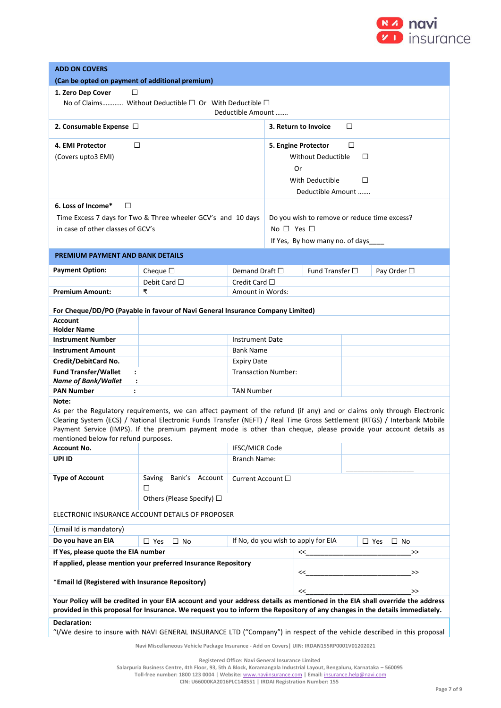

| <b>ADD ON COVERS</b>                                                                                |                                                                                                                                                                                                                                              |                           |                      |                                              |    |                            |  |
|-----------------------------------------------------------------------------------------------------|----------------------------------------------------------------------------------------------------------------------------------------------------------------------------------------------------------------------------------------------|---------------------------|----------------------|----------------------------------------------|----|----------------------------|--|
| (Can be opted on payment of additional premium)                                                     |                                                                                                                                                                                                                                              |                           |                      |                                              |    |                            |  |
| 1. Zero Dep Cover<br>□                                                                              |                                                                                                                                                                                                                                              |                           |                      |                                              |    |                            |  |
| No of Claims Without Deductible $\square$ Or With Deductible $\square$                              |                                                                                                                                                                                                                                              |                           |                      |                                              |    |                            |  |
|                                                                                                     |                                                                                                                                                                                                                                              | Deductible Amount         |                      |                                              |    |                            |  |
| 2. Consumable Expense $\Box$<br>□<br>3. Return to Invoice                                           |                                                                                                                                                                                                                                              |                           |                      |                                              |    |                            |  |
| □<br>4. EMI Protector                                                                               |                                                                                                                                                                                                                                              |                           |                      | 5. Engine Protector                          | □  |                            |  |
| (Covers upto3 EMI)                                                                                  |                                                                                                                                                                                                                                              |                           |                      | <b>Without Deductible</b>                    | □  |                            |  |
|                                                                                                     |                                                                                                                                                                                                                                              |                           | Or                   |                                              |    |                            |  |
|                                                                                                     |                                                                                                                                                                                                                                              |                           | With Deductible<br>□ |                                              |    |                            |  |
|                                                                                                     |                                                                                                                                                                                                                                              |                           |                      | Deductible Amount                            |    |                            |  |
| 6. Loss of Income*<br>□                                                                             |                                                                                                                                                                                                                                              |                           |                      |                                              |    |                            |  |
|                                                                                                     | Time Excess 7 days for Two & Three wheeler GCV's and 10 days                                                                                                                                                                                 |                           |                      | Do you wish to remove or reduce time excess? |    |                            |  |
| in case of other classes of GCV's                                                                   |                                                                                                                                                                                                                                              |                           | No $\Box$ Yes $\Box$ |                                              |    |                            |  |
|                                                                                                     |                                                                                                                                                                                                                                              |                           |                      | If Yes, By how many no. of days              |    |                            |  |
|                                                                                                     |                                                                                                                                                                                                                                              |                           |                      |                                              |    |                            |  |
| <b>PREMIUM PAYMENT AND BANK DETAILS</b>                                                             |                                                                                                                                                                                                                                              |                           |                      |                                              |    |                            |  |
| <b>Payment Option:</b>                                                                              | Cheque $\square$                                                                                                                                                                                                                             | Demand Draft $\square$    |                      | Fund Transfer $\square$                      |    | Pay Order □                |  |
|                                                                                                     | Debit Card $\Box$                                                                                                                                                                                                                            | Credit Card $\Box$        |                      |                                              |    |                            |  |
| <b>Premium Amount:</b>                                                                              | ₹                                                                                                                                                                                                                                            | Amount in Words:          |                      |                                              |    |                            |  |
|                                                                                                     | For Cheque/DD/PO (Payable in favour of Navi General Insurance Company Limited)                                                                                                                                                               |                           |                      |                                              |    |                            |  |
| <b>Account</b>                                                                                      |                                                                                                                                                                                                                                              |                           |                      |                                              |    |                            |  |
| <b>Holder Name</b>                                                                                  |                                                                                                                                                                                                                                              |                           |                      |                                              |    |                            |  |
| <b>Instrument Number</b>                                                                            |                                                                                                                                                                                                                                              | <b>Instrument Date</b>    |                      |                                              |    |                            |  |
| <b>Instrument Amount</b>                                                                            |                                                                                                                                                                                                                                              | <b>Bank Name</b>          |                      |                                              |    |                            |  |
| Credit/DebitCard No.                                                                                |                                                                                                                                                                                                                                              | <b>Expiry Date</b>        |                      |                                              |    |                            |  |
| <b>Fund Transfer/Wallet</b><br>$\ddot{\phantom{a}}$<br><b>Name of Bank/Wallet</b><br>$\ddot{\cdot}$ | <b>Transaction Number:</b>                                                                                                                                                                                                                   |                           |                      |                                              |    |                            |  |
| <b>PAN Number</b><br>$\ddot{\phantom{a}}$                                                           | <b>TAN Number</b>                                                                                                                                                                                                                            |                           |                      |                                              |    |                            |  |
| Note:                                                                                               |                                                                                                                                                                                                                                              |                           |                      |                                              |    |                            |  |
|                                                                                                     | As per the Regulatory requirements, we can affect payment of the refund (if any) and or claims only through Electronic                                                                                                                       |                           |                      |                                              |    |                            |  |
|                                                                                                     | Clearing System (ECS) / National Electronic Funds Transfer (NEFT) / Real Time Gross Settlement (RTGS) / Interbank Mobile<br>Payment Service (IMPS). If the premium payment mode is other than cheque, please provide your account details as |                           |                      |                                              |    |                            |  |
| mentioned below for refund purposes.                                                                |                                                                                                                                                                                                                                              |                           |                      |                                              |    |                            |  |
| <b>Account No.</b>                                                                                  |                                                                                                                                                                                                                                              | <b>IFSC/MICR Code</b>     |                      |                                              |    |                            |  |
| UPI ID                                                                                              |                                                                                                                                                                                                                                              | <b>Branch Name:</b>       |                      |                                              |    |                            |  |
| <b>Type of Account</b>                                                                              | Bank's Account<br>Saving<br>□                                                                                                                                                                                                                | Current Account $\square$ |                      |                                              |    |                            |  |
|                                                                                                     | Others (Please Specify) □                                                                                                                                                                                                                    |                           |                      |                                              |    |                            |  |
|                                                                                                     | ELECTRONIC INSURANCE ACCOUNT DETAILS OF PROPOSER                                                                                                                                                                                             |                           |                      |                                              |    |                            |  |
| (Email Id is mandatory)                                                                             |                                                                                                                                                                                                                                              |                           |                      |                                              |    |                            |  |
| Do you have an EIA                                                                                  | $\Box$ Yes<br>$\Box$ No                                                                                                                                                                                                                      |                           |                      | If No, do you wish to apply for EIA          |    | $\square$ Yes<br>$\Box$ No |  |
| If Yes, please quote the EIA number                                                                 |                                                                                                                                                                                                                                              |                           | <<                   |                                              | >> |                            |  |
|                                                                                                     | If applied, please mention your preferred Insurance Repository                                                                                                                                                                               |                           |                      | <<                                           |    | >>                         |  |
| *Email Id (Registered with Insurance Repository)                                                    |                                                                                                                                                                                                                                              | <<                        |                      | $\,>$                                        |    |                            |  |
|                                                                                                     | Your Policy will be credited in your EIA account and your address details as mentioned in the EIA shall override the address                                                                                                                 |                           |                      |                                              |    |                            |  |
|                                                                                                     | provided in this proposal for Insurance. We request you to inform the Repository of any changes in the details immediately.                                                                                                                  |                           |                      |                                              |    |                            |  |
| <b>Declaration:</b>                                                                                 |                                                                                                                                                                                                                                              |                           |                      |                                              |    |                            |  |
|                                                                                                     | "I/We desire to insure with NAVI GENERAL INSURANCE LTD ("Company") in respect of the vehicle described in this proposal                                                                                                                      |                           |                      |                                              |    |                            |  |
|                                                                                                     | Navi Miscellaneous Vehicle Package Insurance - Add on Covers   UIN: IRDAN155RP0001V01202021                                                                                                                                                  |                           |                      |                                              |    |                            |  |

**Registered Office: Navi General Insurance Limited**

**Salarpuria Business Centre, 4th Floor, 93, 5th A Block, Koramangala Industrial Layout, Bengaluru, Karnataka – 560095**

**Toll-free number: 1800 123 0004 | Website:** [www.naviinsurance.com](http://www.naviinsurance.com/) **| Email:** [insurance.help@navi.com](mailto:insurance.help@navi.com) **CIN: U66000KA2016PLC148551 | IRDAI Registration Number: 155**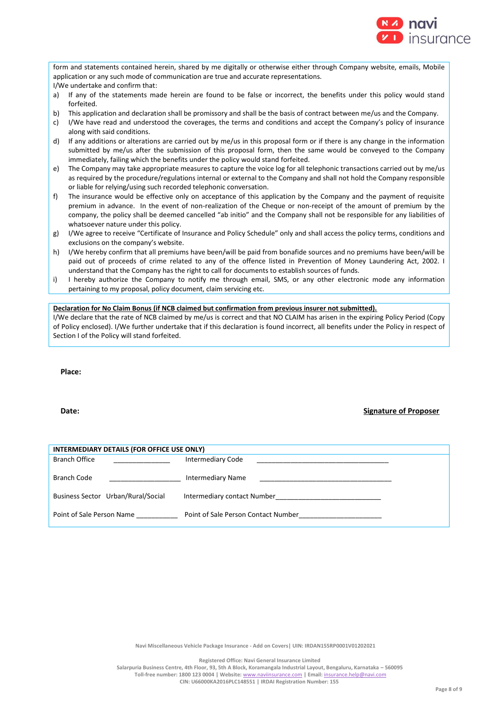

form and statements contained herein, shared by me digitally or otherwise either through Company website, emails, Mobile application or any such mode of communication are true and accurate representations. I/We undertake and confirm that:

- a) If any of the statements made herein are found to be false or incorrect, the benefits under this policy would stand forfeited.
- b) This application and declaration shall be promissory and shall be the basis of contract between me/us and the Company.
- c) I/We have read and understood the coverages, the terms and conditions and accept the Company's policy of insurance along with said conditions.
- d) If any additions or alterations are carried out by me/us in this proposal form or if there is any change in the information submitted by me/us after the submission of this proposal form, then the same would be conveyed to the Company immediately, failing which the benefits under the policy would stand forfeited.
- e) The Company may take appropriate measures to capture the voice log for all telephonic transactions carried out by me/us as required by the procedure/regulations internal or external to the Company and shall not hold the Company responsible or liable for relying/using such recorded telephonic conversation.
- f) The insurance would be effective only on acceptance of this application by the Company and the payment of requisite premium in advance. In the event of non-realization of the Cheque or non-receipt of the amount of premium by the company, the policy shall be deemed cancelled "ab initio" and the Company shall not be responsible for any liabilities of whatsoever nature under this policy.
- g) I/We agree to receive "Certificate of Insurance and Policy Schedule" only and shall access the policy terms, conditions and exclusions on the company's website.
- h) I/We hereby confirm that all premiums have been/will be paid from bonafide sources and no premiums have been/will be paid out of proceeds of crime related to any of the offence listed in Prevention of Money Laundering Act, 2002. I understand that the Company has the right to call for documents to establish sources of funds.
- i) I hereby authorize the Company to notify me through email, SMS, or any other electronic mode any information pertaining to my proposal, policy document, claim servicing etc.

# **Declaration for No Claim Bonus (if NCB claimed but confirmation from previous insurer not submitted).**

I/We declare that the rate of NCB claimed by me/us is correct and that NO CLAIM has arisen in the expiring Policy Period (Copy of Policy enclosed). I/We further undertake that if this declaration is found incorrect, all benefits under the Policy in respect of Section I of the Policy will stand forfeited.

**Place:**

# **Date: Signature of Proposer**

| INTERMEDIARY DETAILS (FOR OFFICE USE ONLY) |                                     |  |  |  |  |
|--------------------------------------------|-------------------------------------|--|--|--|--|
| <b>Branch Office</b>                       | <b>Intermediary Code</b>            |  |  |  |  |
| Branch Code                                | <b>Intermediary Name</b>            |  |  |  |  |
| Business Sector Urban/Rural/Social         | Intermediary contact Number         |  |  |  |  |
| Point of Sale Person Name                  | Point of Sale Person Contact Number |  |  |  |  |

**Navi Miscellaneous Vehicle Package Insurance - Add on Covers| UIN: IRDAN155RP0001V01202021**

**Registered Office: Navi General Insurance Limited**

**Salarpuria Business Centre, 4th Floor, 93, 5th A Block, Koramangala Industrial Layout, Bengaluru, Karnataka – 560095 Toll-free number: 1800 123 0004 | Website:** [www.naviinsurance.com](http://www.naviinsurance.com/) **| Email:** [insurance.help@navi.com](mailto:insurance.help@navi.com) **CIN: U66000KA2016PLC148551 | IRDAI Registration Number: 155**